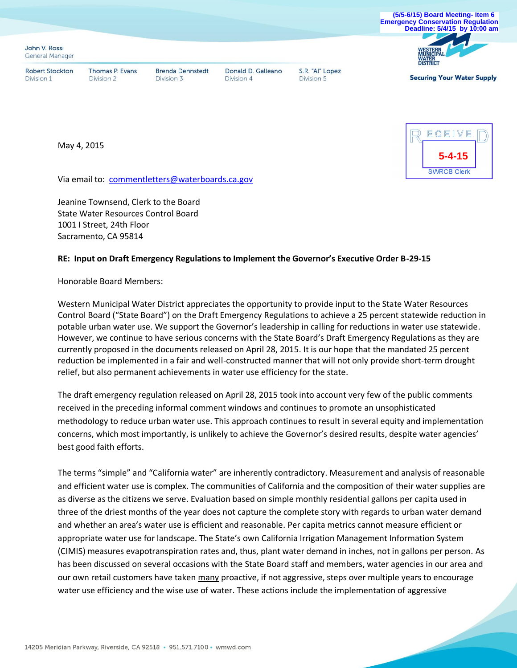

May 4, 2015



Via email to: commentletters@waterboards.ca.gov

Jeanine Townsend, Clerk to the Board State Water Resources Control Board 1001 I Street, 24th Floor Sacramento, CA 95814

## **RE: Input on Draft Emergency Regulations to Implement the Governor's Executive Order B-29-15**

Honorable Board Members:

Western Municipal Water District appreciates the opportunity to provide input to the State Water Resources Control Board ("State Board") on the Draft Emergency Regulations to achieve a 25 percent statewide reduction in potable urban water use. We support the Governor's leadership in calling for reductions in water use statewide. However, we continue to have serious concerns with the State Board's Draft Emergency Regulations as they are currently proposed in the documents released on April 28, 2015. It is our hope that the mandated 25 percent reduction be implemented in a fair and well-constructed manner that will not only provide short-term drought relief, but also permanent achievements in water use efficiency for the state.

The draft emergency regulation released on April 28, 2015 took into account very few of the public comments received in the preceding informal comment windows and continues to promote an unsophisticated methodology to reduce urban water use. This approach continues to result in several equity and implementation concerns, which most importantly, is unlikely to achieve the Governor's desired results, despite water agencies' best good faith efforts.

The terms "simple" and "California water" are inherently contradictory. Measurement and analysis of reasonable and efficient water use is complex. The communities of California and the composition of their water supplies are as diverse as the citizens we serve. Evaluation based on simple monthly residential gallons per capita used in three of the driest months of the year does not capture the complete story with regards to urban water demand and whether an area's water use is efficient and reasonable. Per capita metrics cannot measure efficient or appropriate water use for landscape. The State's own California Irrigation Management Information System (CIMIS) measures evapotranspiration rates and, thus, plant water demand in inches, not in gallons per person. As has been discussed on several occasions with the State Board staff and members, water agencies in our area and our own retail customers have taken many proactive, if not aggressive, steps over multiple years to encourage water use efficiency and the wise use of water. These actions include the implementation of aggressive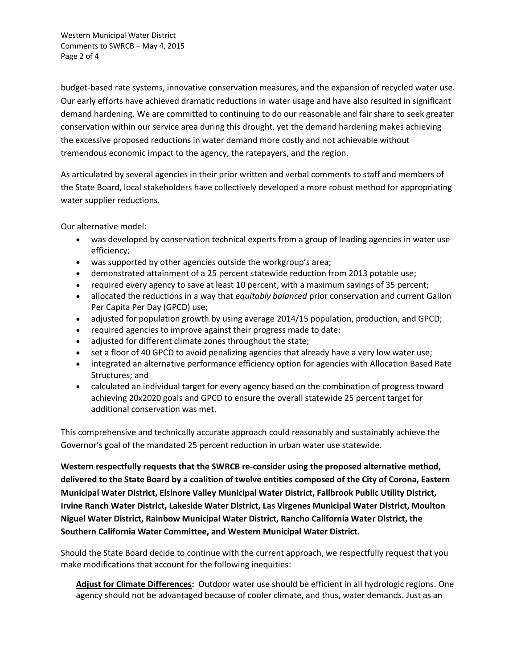Western Municipal Water District Comments to SWRCB – May 4, 2015 Page 2 of 4

budget-based rate systems, innovative conservation measures, and the expansion of recycled water use. Our early efforts have achieved dramatic reductions in water usage and have also resulted in significant demand hardening. We are committed to continuing to do our reasonable and fair share to seek greater conservation within our service area during this drought, yet the demand hardening makes achieving the excessive proposed reductions in water demand more costly and not achievable without tremendous economic impact to the agency, the ratepayers, and the region.

As articulated by several agencies in their prior written and verbal comments to staff and members of the State Board, local stakeholders have collectively developed a more robust method for appropriating water supplier reductions.

Our alternative model:

- was developed by conservation technical experts from a group of leading agencies in water use efficiency;
- was supported by other agencies outside the workgroup's area;
- demonstrated attainment of a 25 percent statewide reduction from 2013 potable use;
- required every agency to save at least 10 percent, with a maximum savings of 35 percent;
- allocated the reductions in a way that *equitably balanced* prior conservation and current Gallon Per Capita Per Day (GPCD) use;
- adjusted for population growth by using average 2014/15 population, production, and GPCD;
- required agencies to improve against their progress made to date;
- adjusted for different climate zones throughout the state;
- set a floor of 40 GPCD to avoid penalizing agencies that already have a very low water use;
- integrated an alternative performance efficiency option for agencies with Allocation Based Rate Structures; and
- calculated an individual target for every agency based on the combination of progress toward achieving 20x2020 goals and GPCD to ensure the overall statewide 25 percent target for additional conservation was met.

This comprehensive and technically accurate approach could reasonably and sustainably achieve the Governor's goal of the mandated 25 percent reduction in urban water use statewide.

**Western respectfully requests that the SWRCB re-consider using the proposed alternative method, delivered to the State Board by a coalition of twelve entities composed of the City of Corona, Eastern Municipal Water District, Elsinore Valley Municipal Water District, Fallbrook Public Utility District, Irvine Ranch Water District, Lakeside Water District, Las Virgenes Municipal Water District, Moulton Niguel Water District, Rainbow Municipal Water District, Rancho California Water District, the Southern California Water Committee, and Western Municipal Water District.**

Should the State Board decide to continue with the current approach, we respectfully request that you make modifications that account for the following inequities:

**Adjust for Climate Differences:** Outdoor water use should be efficient in all hydrologic regions. One agency should not be advantaged because of cooler climate, and thus, water demands. Just as an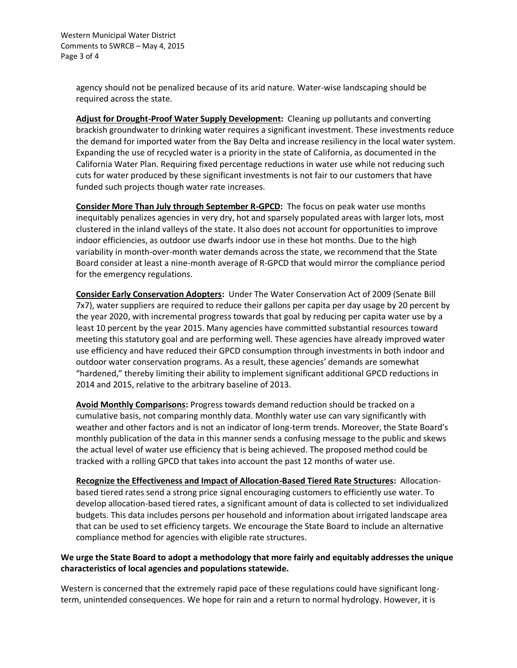agency should not be penalized because of its arid nature. Water-wise landscaping should be required across the state.

**Adjust for Drought-Proof Water Supply Development:** Cleaning up pollutants and converting brackish groundwater to drinking water requires a significant investment. These investments reduce the demand for imported water from the Bay Delta and increase resiliency in the local water system. Expanding the use of recycled water is a priority in the state of California, as documented in the California Water Plan. Requiring fixed percentage reductions in water use while not reducing such cuts for water produced by these significant investments is not fair to our customers that have funded such projects though water rate increases.

**Consider More Than July through September R-GPCD:** The focus on peak water use months inequitably penalizes agencies in very dry, hot and sparsely populated areas with larger lots, most clustered in the inland valleys of the state. It also does not account for opportunities to improve indoor efficiencies, as outdoor use dwarfs indoor use in these hot months. Due to the high variability in month-over-month water demands across the state, we recommend that the State Board consider at least a nine-month average of R-GPCD that would mirror the compliance period for the emergency regulations.

**Consider Early Conservation Adopters:** Under The Water Conservation Act of 2009 (Senate Bill 7x7), water suppliers are required to reduce their gallons per capita per day usage by 20 percent by the year 2020, with incremental progress towards that goal by reducing per capita water use by a least 10 percent by the year 2015. Many agencies have committed substantial resources toward meeting this statutory goal and are performing well. These agencies have already improved water use efficiency and have reduced their GPCD consumption through investments in both indoor and outdoor water conservation programs. As a result, these agencies' demands are somewhat "hardened," thereby limiting their ability to implement significant additional GPCD reductions in 2014 and 2015, relative to the arbitrary baseline of 2013.

**Avoid Monthly Comparisons:** Progress towards demand reduction should be tracked on a cumulative basis, not comparing monthly data. Monthly water use can vary significantly with weather and other factors and is not an indicator of long-term trends. Moreover, the State Board's monthly publication of the data in this manner sends a confusing message to the public and skews the actual level of water use efficiency that is being achieved. The proposed method could be tracked with a rolling GPCD that takes into account the past 12 months of water use.

**Recognize the Effectiveness and Impact of Allocation-Based Tiered Rate Structures:** Allocationbased tiered rates send a strong price signal encouraging customers to efficiently use water. To develop allocation-based tiered rates, a significant amount of data is collected to set individualized budgets. This data includes persons per household and information about irrigated landscape area that can be used to set efficiency targets. We encourage the State Board to include an alternative compliance method for agencies with eligible rate structures.

## **We urge the State Board to adopt a methodology that more fairly and equitably addresses the unique characteristics of local agencies and populations statewide.**

Western is concerned that the extremely rapid pace of these regulations could have significant longterm, unintended consequences. We hope for rain and a return to normal hydrology. However, it is